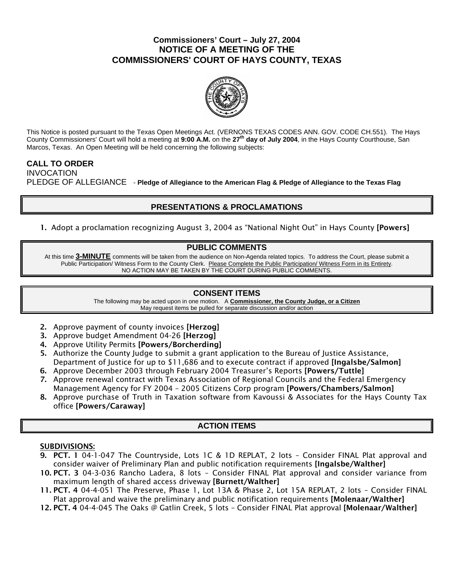## **Commissioners' Court – July 27, 2004 NOTICE OF A MEETING OF THE COMMISSIONERS' COURT OF HAYS COUNTY, TEXAS**



This Notice is posted pursuant to the Texas Open Meetings Act. (VERNONS TEXAS CODES ANN. GOV. CODE CH.551). The Hays County Commissioners' Court will hold a meeting at **9:00 A.M.** on the **27th day of July 2004**, in the Hays County Courthouse, San Marcos, Texas. An Open Meeting will be held concerning the following subjects:

## **CALL TO ORDER**  INVOCATION PLEDGE OF ALLEGIANCE - **Pledge of Allegiance to the American Flag & Pledge of Allegiance to the Texas Flag**

# **PRESENTATIONS & PROCLAMATIONS**

1. Adopt a proclamation recognizing August 3, 2004 as "National Night Out" in Hays County [Powers]

### **PUBLIC COMMENTS**

At this time **3-MINUTE** comments will be taken from the audience on Non-Agenda related topics. To address the Court, please submit a Public Participation/ Witness Form to the County Clerk. Please Complete the Public Participation/ Witness Form in its Entirety. NO ACTION MAY BE TAKEN BY THE COURT DURING PUBLIC COMMENTS.

## **CONSENT ITEMS**

The following may be acted upon in one motion. A **Commissioner, the County Judge, or a Citizen** May request items be pulled for separate discussion and/or action

- 2. Approve payment of county invoices [Herzog]
- 3. Approve budget Amendment 04-26 [Herzog]
- 4. Approve Utility Permits [Powers/Borcherding]
- 5. Authorize the County Judge to submit a grant application to the Bureau of Justice Assistance, Department of Justice for up to \$11,686 and to execute contract if approved [Ingalsbe/Salmon]
- 6. Approve December 2003 through February 2004 Treasurer's Reports [Powers/Tuttle]
- 7. Approve renewal contract with Texas Association of Regional Councils and the Federal Emergency Management Agency for FY 2004 – 2005 Citizens Corp program [Powers/Chambers/Salmon]
- 8. Approve purchase of Truth in Taxation software from Kavoussi & Associates for the Hays County Tax office [Powers/Caraway]

# **ACTION ITEMS**

### SUBDIVISIONS:

- 9. PCT. 1 04-1-047 The Countryside, Lots 1C & 1D REPLAT, 2 lots Consider FINAL Plat approval and consider waiver of Preliminary Plan and public notification requirements [Ingalsbe/Walther]
- 10. PCT. 3 04-3-036 Rancho Ladera, 8 lots Consider FINAL Plat approval and consider variance from maximum length of shared access driveway [Burnett/Walther]
- 11. PCT. 4 04-4-051 The Preserve, Phase 1, Lot 13A & Phase 2, Lot 15A REPLAT, 2 lots Consider FINAL Plat approval and waive the preliminary and public notification requirements [Molenaar/Walther]
- 12. PCT. 4 04-4-045 The Oaks @ Gatlin Creek, 5 lots Consider FINAL Plat approval [Molenaar/Walther]